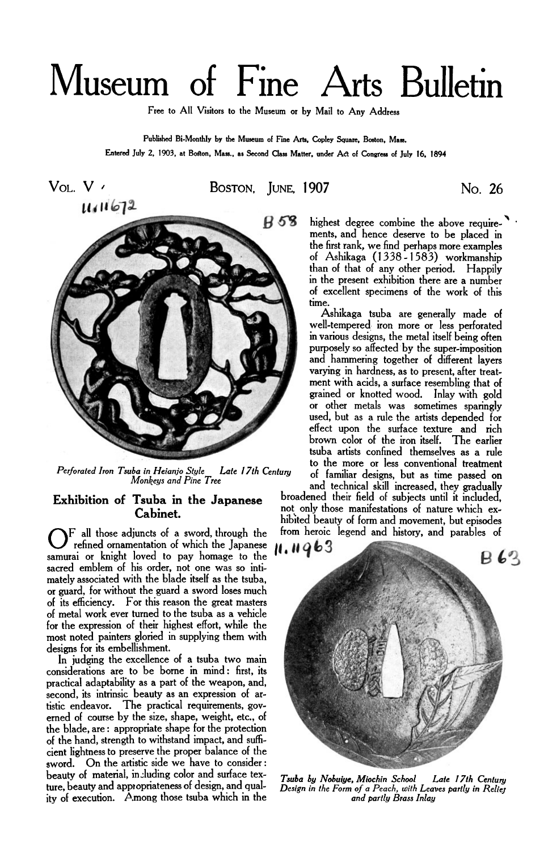## Museum of Fine Arts Bulletin

**Free to All Visitors to the Museum or by Mail to Any Address** 

**Published Bi-MonthIy by the Museum of Fine** Arts, **Copley Square, Boston, Mass. Entered July** *2,* **1903, at Boston, Mass.. as Second** *Class* **Matter. under Act of Congress of July 16, 1894** 





*Perforated Iron Tsuba in Heianjo Style Late 17th Century Monkeys and Pine Tree* 

## **Exhibition of Tsuba in the Japanese Cabinet.**

 $\sum$  all those adjuncts of a sword, through the refined ornamentation of which the Japanese samurai or knight loved to pay homage to the sacred emblem of his order, not one was so intimately associated with the blade itself as the tsuba, or guard, for without the guard a sword loses much of its efficiency. For this reason the great masters of metal work ever turned to the tsuba as a vehicle for the expression of their highest effort, while the most noted painters gloried in supplying them with designs for its embellishment.

In judging the excellence of a tsuba two main considerations are to be borne in mind: first, its practical adaptability as a part of the weapon, and, tistic endeavor. The practical requirements, governed of course by the size, shape, weight, etc., of the blade, are : appropriate shape for the protection of the hand, strength to withstand impact, and **suffi**cient lightness to preserve the proper balance of the sword. On the artistic side we have to consider: beauty of material, including color and surface texture, beauty and appropriateness of design, and quality of execution. Among those tsuba which in the

highest degree combine the above requirements, and hence deserve to be placed in the first rank, we find perhaps more examples of Ashikaga (1338-1583) workmanship than of that of any other period. Happily in the present exhibition there are a number of excellent specimens of the work of this time.

Ashikaga tsuba are generally made of well-tempered iron more or less perforated in various designs, the metal itself being often purposely so affected by the super-imposition and hammering together of different layers varying in hardness, as to present, after treatment with acids, a surface resembling that of grained or knotted wood. Inlay with gold or other metals was sometimes sparingly used, but as a rule the artists depended for effect upon the surface texture and rich brown color of the iron itself. The earlier tsuba artists confined themselves as a rule to the more or less conventional treatment of familiar designs, but as time passed on

and technical skill increased, they gradually broadened their field of subjects until it included, not only those manifestations of nature which exhibited beauty of form and movement, but episodes from heroic legend and history, and parables of



*Late 17th Century Design in the Form of a Peach, with Leaves partly in Relief and partly Brass Inlay Tsuba by Nobujye, Miochin School*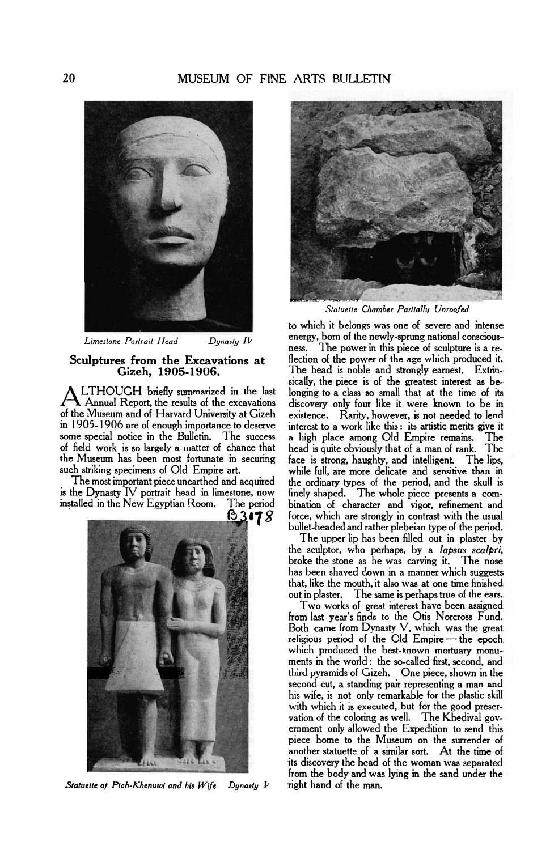

*Limestone Portrait Head Dynasty IV* 

## **Sculptures from the Excavations at Gizeh, 1905-1906.**

**A** LTHOUGH briefly summarized in the last<br>of the Museum and of Harvard University at Gizeh of the Museum and of Harvard University at Gizeh existence. Rarity, however, is not needed to lend<br>in 1905-1906 are of enough importance to deserve interest to a work like this : its artistic merits give i in 1905-1906 are of enough importance to deserve interest to a work like this : its artistic merits give it some special notice in the Bulletin. The success a high place among Old Empire remains. The some special notice in the Bulletin. The success a high place among Old Empire remains. The of field work is so largely a matter of chance that head is quite obviously that of a man of rank. The the Museum has been most fo the Museum has been most fortunate in securing face is strong, haughty, and intelligent. The lips,<br>such striking specimens of Old Empire art. while full, are more delicate and sensitive than in

The most important piece unearthed and acquired the ordinary types of the period, and the skull is is the Dynasty IV portrait head in limestone, now finely shaped. The whole piece presents a comis the Dynasty IV portrait head in limestone, now finely shaped. The whole piece presents a com-<br>installed in the New Egyptian Room. The period bination of character and vigor, refinement and

B3178 **FELT** 

*Statuette of Ptah-Khenuwi and his Wife Dynasty* **V** 



*Statuette Chamber Partially Unroofed* 

to which it belongs was one of severe and intense energy, born of the newly-sprung national consciousness. The power in this piece of sculpture is a reflection of the power of the age which produced it. The head is noble and strongly earnest. Extrinsically, the piece is of the greatest interest as be-<br>longing to a class so small that at the time of its discovery only four like it were known to be in such striking specimens of Old Empire art. while full, are more delicate and sensitive than in force, which are strongly in contrast with the usual bullet-headed and rather plebeian type of the period.

The upper lip has been filled out in plaster by the sculptor, who perhaps, by a *lapsus scalpri,*  broke the stone as he was carving it. The nose has been shaved down in a manner which suggests that, like the mouth, it also was at one time finished out in plaster. The same is perhaps true of the ears.

Two works of great interest have been assigned from last year's finds to the Otis Norcross Fund. Both came from Dynasty V, which was the great religious period of the Old Empire-the epoch which produced the best-known mortuary monuments in the world : the so-called first, second, and second cut, a standing pair representing a man and third pyramids of Gizeh. One piece, shown in the his wife, is not only remarkable for the plastic skill with which it is executed, but for the good preservation of the coloring as well. The Khedival government only allowed the Expedition to send this piece home to the Museum on the surrender of another statuette of a similar sort. At the time of its discovery the head of the woman was separated **from** the body and was lying in the sand under the right hand of the man.